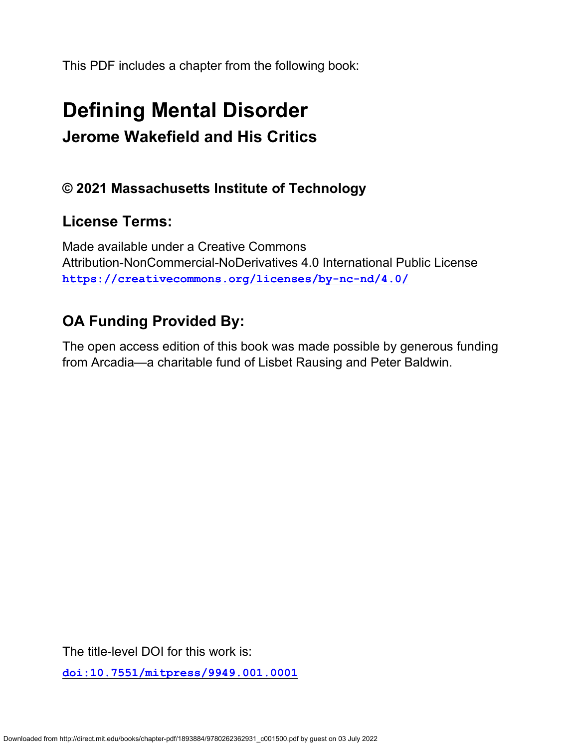This PDF includes a chapter from the following book:

# **Defining Mental Disorder Jerome Wakefield and His Critics**

## **© 2021 Massachusetts Institute of Technology**

# **License Terms:**

Made available under a Creative Commons Attribution-NonCommercial-NoDerivatives 4.0 International Public License **<https://creativecommons.org/licenses/by-nc-nd/4.0/>**

# **OA Funding Provided By:**

The open access edition of this book was made possible by generous funding from Arcadia—a charitable fund of Lisbet Rausing and Peter Baldwin.

The title-level DOI for this work is:

**[doi:10.7551/mitpress/9949.001.0001](https://doi.org/10.7551/mitpress/9949.001.0001)**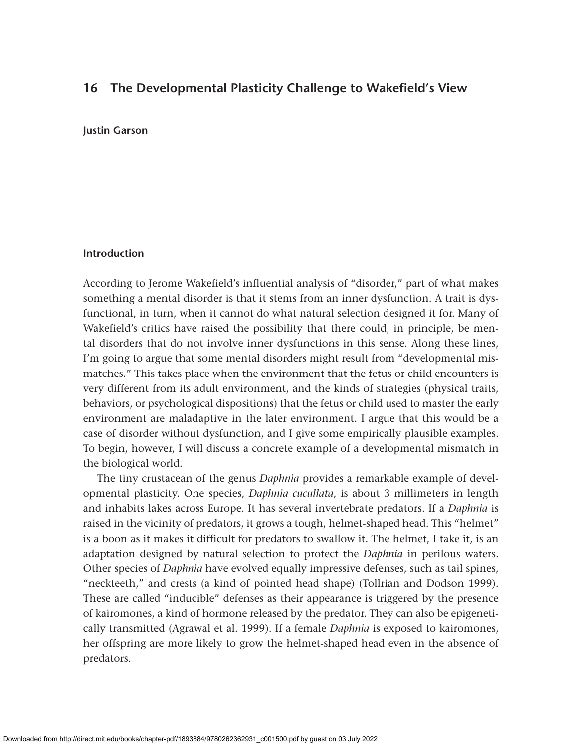### **16 The Developmental Plasticity Challenge to Wakefield's View**

#### **Justin Garson**

#### **Introduction**

According to Jerome Wakefield's influential analysis of "disorder," part of what makes something a mental disorder is that it stems from an inner dysfunction. A trait is dysfunctional, in turn, when it cannot do what natural selection designed it for. Many of Wakefield's critics have raised the possibility that there could, in principle, be mental disorders that do not involve inner dysfunctions in this sense. Along these lines, I'm going to argue that some mental disorders might result from "developmental mismatches." This takes place when the environment that the fetus or child encounters is very different from its adult environment, and the kinds of strategies (physical traits, behaviors, or psychological dispositions) that the fetus or child used to master the early environment are maladaptive in the later environment. I argue that this would be a case of disorder without dysfunction, and I give some empirically plausible examples. To begin, however, I will discuss a concrete example of a developmental mismatch in the biological world.

The tiny crustacean of the genus *Daphnia* provides a remarkable example of developmental plasticity. One species, *Daphnia cucullata*, is about 3 millimeters in length and inhabits lakes across Europe. It has several invertebrate predators. If a *Daphnia* is raised in the vicinity of predators, it grows a tough, helmet-shaped head. This "helmet" is a boon as it makes it difficult for predators to swallow it. The helmet, I take it, is an adaptation designed by natural selection to protect the *Daphnia* in perilous waters. Other species of *Daphnia* have evolved equally impressive defenses, such as tail spines, "neckteeth," and crests (a kind of pointed head shape) (Tollrian and Dodson 1999). These are called "inducible" defenses as their appearance is triggered by the presence of kairomones, a kind of hormone released by the predator. They can also be epigenetically transmitted (Agrawal et al. 1999). If a female *Daphnia* is exposed to kairomones, her offspring are more likely to grow the helmet-shaped head even in the absence of predators.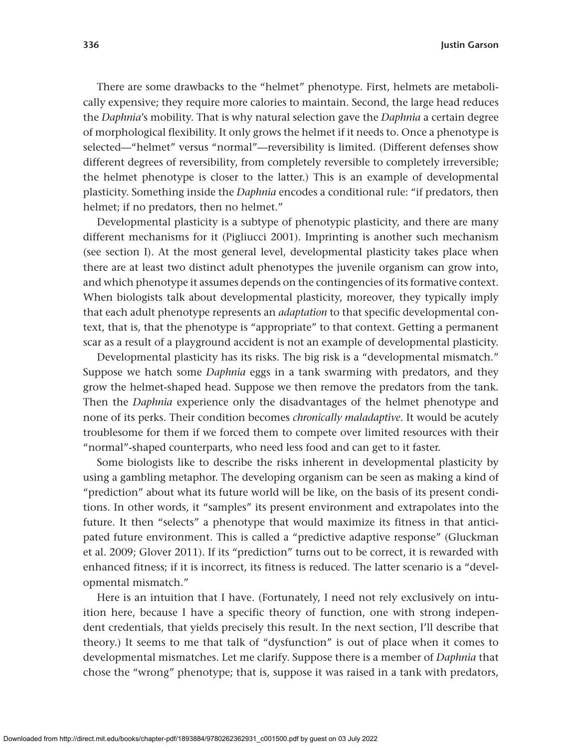There are some drawbacks to the "helmet" phenotype. First, helmets are metabolically expensive; they require more calories to maintain. Second, the large head reduces the *Daphnia*'s mobility. That is why natural selection gave the *Daphnia* a certain degree of morphological flexibility. It only grows the helmet if it needs to. Once a phenotype is selected—"helmet" versus "normal"—reversibility is limited. (Different defenses show different degrees of reversibility, from completely reversible to completely irreversible; the helmet phenotype is closer to the latter.) This is an example of developmental plasticity. Something inside the *Daphnia* encodes a conditional rule: "if predators, then helmet; if no predators, then no helmet."

Developmental plasticity is a subtype of phenotypic plasticity, and there are many different mechanisms for it (Pigliucci 2001). Imprinting is another such mechanism (see section I). At the most general level, developmental plasticity takes place when there are at least two distinct adult phenotypes the juvenile organism can grow into, and which phenotype it assumes depends on the contingencies of its formative context. When biologists talk about developmental plasticity, moreover, they typically imply that each adult phenotype represents an *adaptation* to that specific developmental context, that is, that the phenotype is "appropriate" to that context. Getting a permanent scar as a result of a playground accident is not an example of developmental plasticity.

Developmental plasticity has its risks. The big risk is a "developmental mismatch." Suppose we hatch some *Daphnia* eggs in a tank swarming with predators, and they grow the helmet-shaped head. Suppose we then remove the predators from the tank. Then the *Daphnia* experience only the disadvantages of the helmet phenotype and none of its perks. Their condition becomes *chronically maladaptive*. It would be acutely troublesome for them if we forced them to compete over limited resources with their "normal"-shaped counterparts, who need less food and can get to it faster.

Some biologists like to describe the risks inherent in developmental plasticity by using a gambling metaphor. The developing organism can be seen as making a kind of "prediction" about what its future world will be like, on the basis of its present conditions. In other words, it "samples" its present environment and extrapolates into the future. It then "selects" a phenotype that would maximize its fitness in that anticipated future environment. This is called a "predictive adaptive response" (Gluckman et al. 2009; Glover 2011). If its "prediction" turns out to be correct, it is rewarded with enhanced fitness; if it is incorrect, its fitness is reduced. The latter scenario is a "developmental mismatch."

Here is an intuition that I have. (Fortunately, I need not rely exclusively on intuition here, because I have a specific theory of function, one with strong independent credentials, that yields precisely this result. In the next section, I'll describe that theory.) It seems to me that talk of "dysfunction" is out of place when it comes to developmental mismatches. Let me clarify. Suppose there is a member of *Daphnia* that chose the "wrong" phenotype; that is, suppose it was raised in a tank with predators,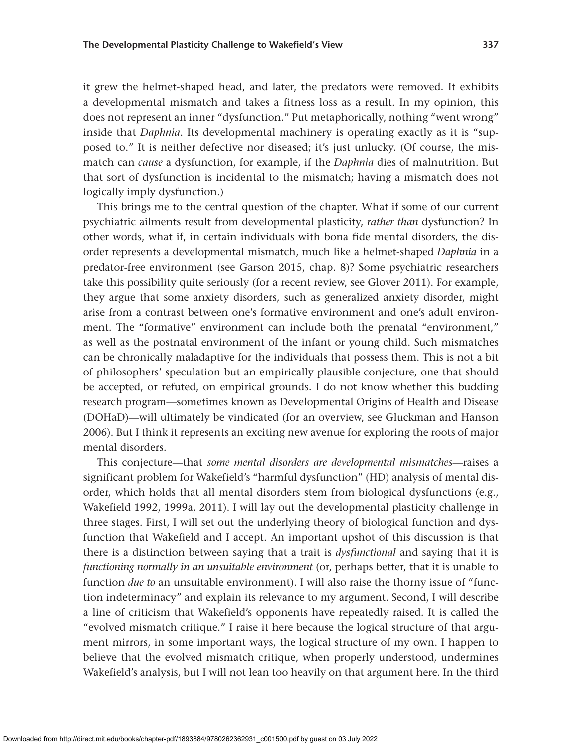it grew the helmet-shaped head, and later, the predators were removed. It exhibits a developmental mismatch and takes a fitness loss as a result. In my opinion, this does not represent an inner "dysfunction." Put metaphorically, nothing "went wrong" inside that *Daphnia*. Its developmental machinery is operating exactly as it is "supposed to." It is neither defective nor diseased; it's just unlucky. (Of course, the mismatch can *cause* a dysfunction, for example, if the *Daphnia* dies of malnutrition. But that sort of dysfunction is incidental to the mismatch; having a mismatch does not logically imply dysfunction.)

This brings me to the central question of the chapter. What if some of our current psychiatric ailments result from developmental plasticity, *rather than* dysfunction? In other words, what if, in certain individuals with bona fide mental disorders, the disorder represents a developmental mismatch, much like a helmet-shaped *Daphnia* in a predator-free environment (see Garson 2015, chap. 8)? Some psychiatric researchers take this possibility quite seriously (for a recent review, see Glover 2011). For example, they argue that some anxiety disorders, such as generalized anxiety disorder, might arise from a contrast between one's formative environment and one's adult environment. The "formative" environment can include both the prenatal "environment," as well as the postnatal environment of the infant or young child. Such mismatches can be chronically maladaptive for the individuals that possess them. This is not a bit of philosophers' speculation but an empirically plausible conjecture, one that should be accepted, or refuted, on empirical grounds. I do not know whether this budding research program—sometimes known as Developmental Origins of Health and Disease (DOHaD)—will ultimately be vindicated (for an overview, see Gluckman and Hanson 2006). But I think it represents an exciting new avenue for exploring the roots of major mental disorders.

This conjecture—that *some mental disorders are developmental mismatches*—raises a significant problem for Wakefield's "harmful dysfunction" (HD) analysis of mental disorder, which holds that all mental disorders stem from biological dysfunctions (e.g., Wakefield 1992, 1999a, 2011). I will lay out the developmental plasticity challenge in three stages. First, I will set out the underlying theory of biological function and dysfunction that Wakefield and I accept. An important upshot of this discussion is that there is a distinction between saying that a trait is *dysfunctional* and saying that it is *functioning normally in an unsuitable environment* (or, perhaps better, that it is unable to function *due to* an unsuitable environment). I will also raise the thorny issue of "function indeterminacy" and explain its relevance to my argument. Second, I will describe a line of criticism that Wakefield's opponents have repeatedly raised. It is called the "evolved mismatch critique." I raise it here because the logical structure of that argument mirrors, in some important ways, the logical structure of my own. I happen to believe that the evolved mismatch critique, when properly understood, undermines Wakefield's analysis, but I will not lean too heavily on that argument here. In the third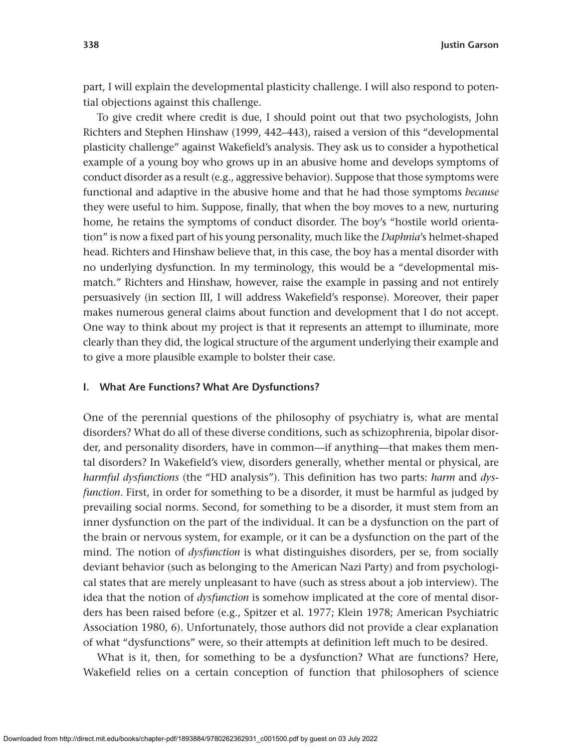**338 Justin Garson**

part, I will explain the developmental plasticity challenge. I will also respond to potential objections against this challenge.

To give credit where credit is due, I should point out that two psychologists, John Richters and Stephen Hinshaw (1999, 442–443), raised a version of this "developmental plasticity challenge" against Wakefield's analysis. They ask us to consider a hypothetical example of a young boy who grows up in an abusive home and develops symptoms of conduct disorder as a result (e.g., aggressive behavior). Suppose that those symptoms were functional and adaptive in the abusive home and that he had those symptoms *because* they were useful to him. Suppose, finally, that when the boy moves to a new, nurturing home, he retains the symptoms of conduct disorder. The boy's "hostile world orientation" is now a fixed part of his young personality, much like the *Daphnia*'s helmet-shaped head. Richters and Hinshaw believe that, in this case, the boy has a mental disorder with no underlying dysfunction. In my terminology, this would be a "developmental mismatch." Richters and Hinshaw, however, raise the example in passing and not entirely persuasively (in section III, I will address Wakefield's response). Moreover, their paper makes numerous general claims about function and development that I do not accept. One way to think about my project is that it represents an attempt to illuminate, more clearly than they did, the logical structure of the argument underlying their example and to give a more plausible example to bolster their case.

#### **I. What Are Functions? What Are Dysfunctions?**

One of the perennial questions of the philosophy of psychiatry is, what are mental disorders? What do all of these diverse conditions, such as schizophrenia, bipolar disorder, and personality disorders, have in common—if anything—that makes them mental disorders? In Wakefield's view, disorders generally, whether mental or physical, are *harmful dysfunctions* (the "HD analysis"). This definition has two parts: *harm* and *dysfunction*. First, in order for something to be a disorder, it must be harmful as judged by prevailing social norms. Second, for something to be a disorder, it must stem from an inner dysfunction on the part of the individual. It can be a dysfunction on the part of the brain or nervous system, for example, or it can be a dysfunction on the part of the mind. The notion of *dysfunction* is what distinguishes disorders, per se, from socially deviant behavior (such as belonging to the American Nazi Party) and from psychological states that are merely unpleasant to have (such as stress about a job interview). The idea that the notion of *dysfunction* is somehow implicated at the core of mental disorders has been raised before (e.g., Spitzer et al. 1977; Klein 1978; American Psychiatric Association 1980, 6). Unfortunately, those authors did not provide a clear explanation of what "dysfunctions" were, so their attempts at definition left much to be desired.

What is it, then, for something to be a dysfunction? What are functions? Here, Wakefield relies on a certain conception of function that philosophers of science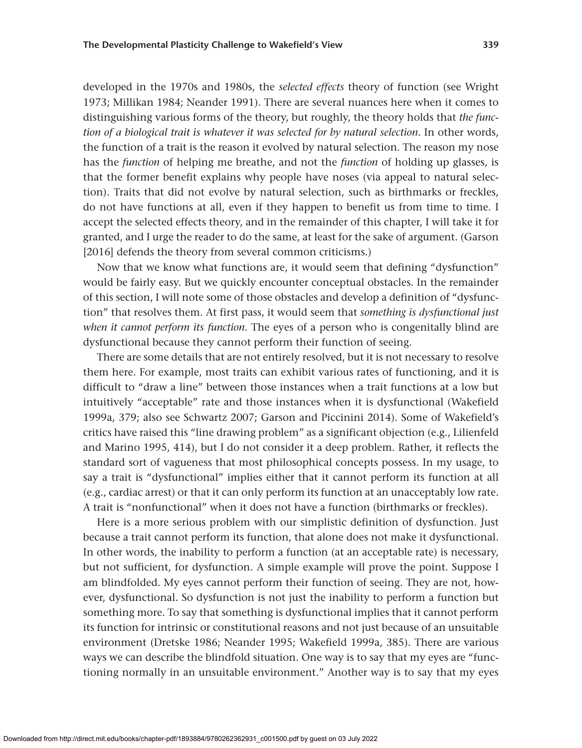developed in the 1970s and 1980s, the *selected effects* theory of function (see Wright 1973; Millikan 1984; Neander 1991). There are several nuances here when it comes to distinguishing various forms of the theory, but roughly, the theory holds that *the function of a biological trait is whatever it was selected for by natural selection*. In other words, the function of a trait is the reason it evolved by natural selection. The reason my nose has the *function* of helping me breathe, and not the *function* of holding up glasses, is that the former benefit explains why people have noses (via appeal to natural selection). Traits that did not evolve by natural selection, such as birthmarks or freckles, do not have functions at all, even if they happen to benefit us from time to time. I accept the selected effects theory, and in the remainder of this chapter, I will take it for granted, and I urge the reader to do the same, at least for the sake of argument. (Garson [2016] defends the theory from several common criticisms.)

Now that we know what functions are, it would seem that defining "dysfunction" would be fairly easy. But we quickly encounter conceptual obstacles. In the remainder of this section, I will note some of those obstacles and develop a definition of "dysfunction" that resolves them. At first pass, it would seem that *something is dysfunctional just when it cannot perform its function*. The eyes of a person who is congenitally blind are dysfunctional because they cannot perform their function of seeing.

There are some details that are not entirely resolved, but it is not necessary to resolve them here. For example, most traits can exhibit various rates of functioning, and it is difficult to "draw a line" between those instances when a trait functions at a low but intuitively "acceptable" rate and those instances when it is dysfunctional (Wakefield 1999a, 379; also see Schwartz 2007; Garson and Piccinini 2014). Some of Wakefield's critics have raised this "line drawing problem" as a significant objection (e.g., Lilienfeld and Marino 1995, 414), but I do not consider it a deep problem. Rather, it reflects the standard sort of vagueness that most philosophical concepts possess. In my usage, to say a trait is "dysfunctional" implies either that it cannot perform its function at all (e.g., cardiac arrest) or that it can only perform its function at an unacceptably low rate. A trait is "nonfunctional" when it does not have a function (birthmarks or freckles).

Here is a more serious problem with our simplistic definition of dysfunction. Just because a trait cannot perform its function, that alone does not make it dysfunctional. In other words, the inability to perform a function (at an acceptable rate) is necessary, but not sufficient, for dysfunction. A simple example will prove the point. Suppose I am blindfolded. My eyes cannot perform their function of seeing. They are not, however, dysfunctional. So dysfunction is not just the inability to perform a function but something more. To say that something is dysfunctional implies that it cannot perform its function for intrinsic or constitutional reasons and not just because of an unsuitable environment (Dretske 1986; Neander 1995; Wakefield 1999a, 385). There are various ways we can describe the blindfold situation. One way is to say that my eyes are "functioning normally in an unsuitable environment." Another way is to say that my eyes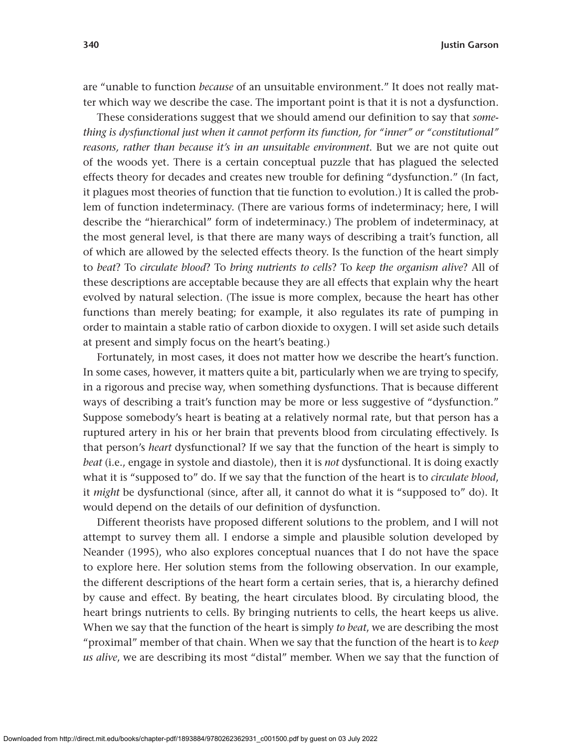are "unable to function *because* of an unsuitable environment." It does not really matter which way we describe the case. The important point is that it is not a dysfunction.

These considerations suggest that we should amend our definition to say that *something is dysfunctional just when it cannot perform its function, for "inner" or "constitutional" reasons, rather than because it's in an unsuitable environment*. But we are not quite out of the woods yet. There is a certain conceptual puzzle that has plagued the selected effects theory for decades and creates new trouble for defining "dysfunction." (In fact, it plagues most theories of function that tie function to evolution.) It is called the problem of function indeterminacy. (There are various forms of indeterminacy; here, I will describe the "hierarchical" form of indeterminacy.) The problem of indeterminacy, at the most general level, is that there are many ways of describing a trait's function, all of which are allowed by the selected effects theory. Is the function of the heart simply to *beat*? To *circulate blood*? To *bring nutrients to cells*? To *keep the organism alive*? All of these descriptions are acceptable because they are all effects that explain why the heart evolved by natural selection. (The issue is more complex, because the heart has other functions than merely beating; for example, it also regulates its rate of pumping in order to maintain a stable ratio of carbon dioxide to oxygen. I will set aside such details at present and simply focus on the heart's beating.)

Fortunately, in most cases, it does not matter how we describe the heart's function. In some cases, however, it matters quite a bit, particularly when we are trying to specify, in a rigorous and precise way, when something dysfunctions. That is because different ways of describing a trait's function may be more or less suggestive of "dysfunction." Suppose somebody's heart is beating at a relatively normal rate, but that person has a ruptured artery in his or her brain that prevents blood from circulating effectively. Is that person's *heart* dysfunctional? If we say that the function of the heart is simply to *beat* (i.e., engage in systole and diastole), then it is *not* dysfunctional. It is doing exactly what it is "supposed to" do. If we say that the function of the heart is to *circulate blood*, it *might* be dysfunctional (since, after all, it cannot do what it is "supposed to" do). It would depend on the details of our definition of dysfunction.

Different theorists have proposed different solutions to the problem, and I will not attempt to survey them all. I endorse a simple and plausible solution developed by Neander (1995), who also explores conceptual nuances that I do not have the space to explore here. Her solution stems from the following observation. In our example, the different descriptions of the heart form a certain series, that is, a hierarchy defined by cause and effect. By beating, the heart circulates blood. By circulating blood, the heart brings nutrients to cells. By bringing nutrients to cells, the heart keeps us alive. When we say that the function of the heart is simply *to beat*, we are describing the most "proximal" member of that chain. When we say that the function of the heart is to *keep us alive*, we are describing its most "distal" member. When we say that the function of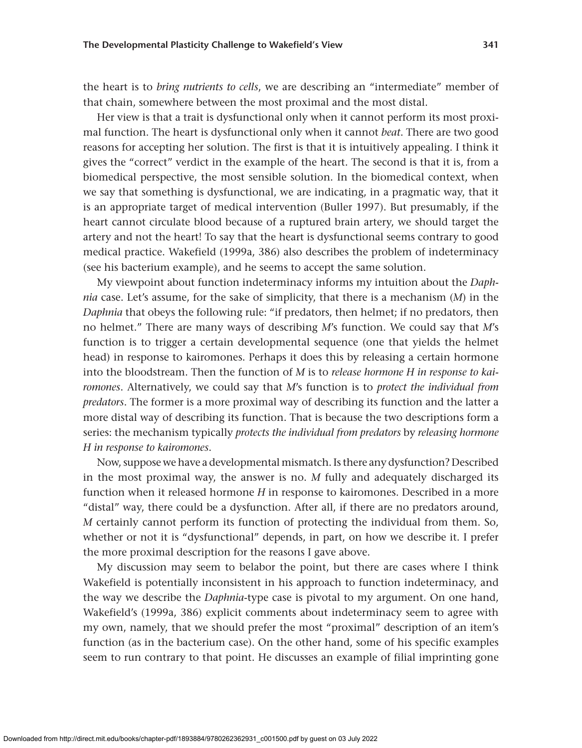the heart is to *bring nutrients to cells*, we are describing an "intermediate" member of that chain, somewhere between the most proximal and the most distal.

Her view is that a trait is dysfunctional only when it cannot perform its most proximal function. The heart is dysfunctional only when it cannot *beat*. There are two good reasons for accepting her solution. The first is that it is intuitively appealing. I think it gives the "correct" verdict in the example of the heart. The second is that it is, from a biomedical perspective, the most sensible solution. In the biomedical context, when we say that something is dysfunctional, we are indicating, in a pragmatic way, that it is an appropriate target of medical intervention (Buller 1997). But presumably, if the heart cannot circulate blood because of a ruptured brain artery, we should target the artery and not the heart! To say that the heart is dysfunctional seems contrary to good medical practice. Wakefield (1999a, 386) also describes the problem of indeterminacy (see his bacterium example), and he seems to accept the same solution.

My viewpoint about function indeterminacy informs my intuition about the *Daphnia* case. Let's assume, for the sake of simplicity, that there is a mechanism (*M*) in the *Daphnia* that obeys the following rule: "if predators, then helmet; if no predators, then no helmet." There are many ways of describing *M*'s function. We could say that *M*'s function is to trigger a certain developmental sequence (one that yields the helmet head) in response to kairomones. Perhaps it does this by releasing a certain hormone into the bloodstream. Then the function of *M* is to *release hormone H in response to kairomones*. Alternatively, we could say that *M*'s function is to *protect the individual from predators*. The former is a more proximal way of describing its function and the latter a more distal way of describing its function. That is because the two descriptions form a series: the mechanism typically *protects the individual from predators* by *releasing hormone H in response to kairomones*.

Now, suppose we have a developmental mismatch. Is there any dysfunction? Described in the most proximal way, the answer is no. *M* fully and adequately discharged its function when it released hormone *H* in response to kairomones. Described in a more "distal" way, there could be a dysfunction. After all, if there are no predators around, *M* certainly cannot perform its function of protecting the individual from them. So, whether or not it is "dysfunctional" depends, in part, on how we describe it. I prefer the more proximal description for the reasons I gave above.

My discussion may seem to belabor the point, but there are cases where I think Wakefield is potentially inconsistent in his approach to function indeterminacy, and the way we describe the *Daphnia*-type case is pivotal to my argument. On one hand, Wakefield's (1999a, 386) explicit comments about indeterminacy seem to agree with my own, namely, that we should prefer the most "proximal" description of an item's function (as in the bacterium case). On the other hand, some of his specific examples seem to run contrary to that point. He discusses an example of filial imprinting gone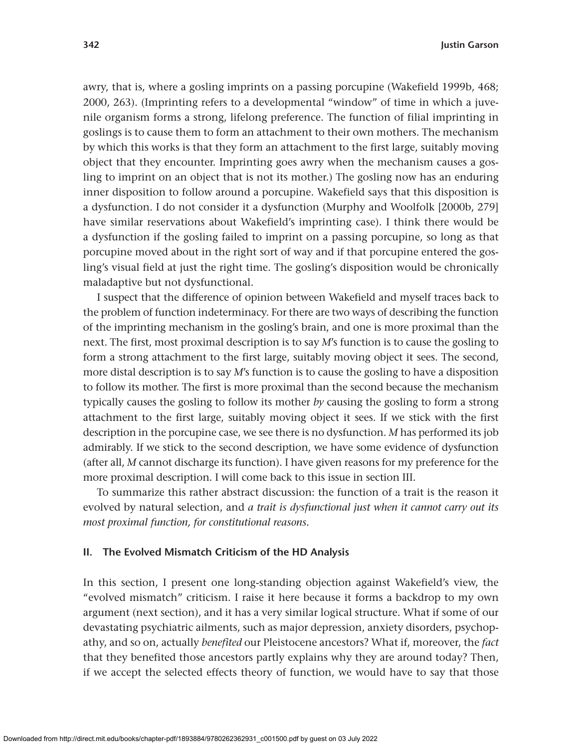awry, that is, where a gosling imprints on a passing porcupine (Wakefield 1999b, 468; 2000, 263). (Imprinting refers to a developmental "window" of time in which a juvenile organism forms a strong, lifelong preference. The function of filial imprinting in goslings is to cause them to form an attachment to their own mothers. The mechanism by which this works is that they form an attachment to the first large, suitably moving object that they encounter. Imprinting goes awry when the mechanism causes a gosling to imprint on an object that is not its mother.) The gosling now has an enduring inner disposition to follow around a porcupine. Wakefield says that this disposition is a dysfunction. I do not consider it a dysfunction (Murphy and Woolfolk [2000b, 279] have similar reservations about Wakefield's imprinting case). I think there would be a dysfunction if the gosling failed to imprint on a passing porcupine, so long as that porcupine moved about in the right sort of way and if that porcupine entered the gosling's visual field at just the right time. The gosling's disposition would be chronically maladaptive but not dysfunctional.

I suspect that the difference of opinion between Wakefield and myself traces back to the problem of function indeterminacy. For there are two ways of describing the function of the imprinting mechanism in the gosling's brain, and one is more proximal than the next. The first, most proximal description is to say *M*'s function is to cause the gosling to form a strong attachment to the first large, suitably moving object it sees. The second, more distal description is to say *M*'s function is to cause the gosling to have a disposition to follow its mother. The first is more proximal than the second because the mechanism typically causes the gosling to follow its mother *by* causing the gosling to form a strong attachment to the first large, suitably moving object it sees. If we stick with the first description in the porcupine case, we see there is no dysfunction. *M* has performed its job admirably. If we stick to the second description, we have some evidence of dysfunction (after all, *M* cannot discharge its function). I have given reasons for my preference for the more proximal description. I will come back to this issue in section III.

To summarize this rather abstract discussion: the function of a trait is the reason it evolved by natural selection, and *a trait is dysfunctional just when it cannot carry out its most proximal function, for constitutional reasons.*

### **II. The Evolved Mismatch Criticism of the HD Analysis**

In this section, I present one long-standing objection against Wakefield's view, the "evolved mismatch" criticism. I raise it here because it forms a backdrop to my own argument (next section), and it has a very similar logical structure. What if some of our devastating psychiatric ailments, such as major depression, anxiety disorders, psychopathy, and so on, actually *benefited* our Pleistocene ancestors? What if, moreover, the *fact* that they benefited those ancestors partly explains why they are around today? Then, if we accept the selected effects theory of function, we would have to say that those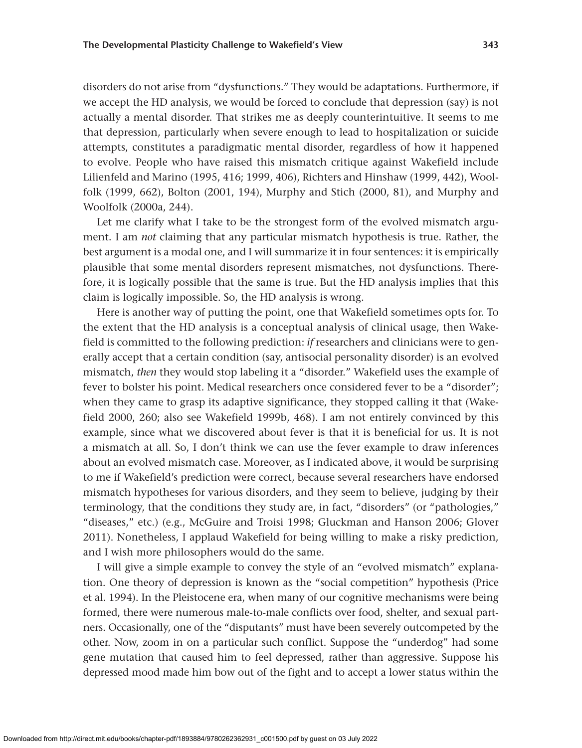disorders do not arise from "dysfunctions." They would be adaptations. Furthermore, if we accept the HD analysis, we would be forced to conclude that depression (say) is not actually a mental disorder. That strikes me as deeply counterintuitive. It seems to me that depression, particularly when severe enough to lead to hospitalization or suicide attempts, constitutes a paradigmatic mental disorder, regardless of how it happened to evolve. People who have raised this mismatch critique against Wakefield include Lilienfeld and Marino (1995, 416; 1999, 406), Richters and Hinshaw (1999, 442), Woolfolk (1999, 662), Bolton (2001, 194), Murphy and Stich (2000, 81), and Murphy and Woolfolk (2000a, 244).

Let me clarify what I take to be the strongest form of the evolved mismatch argument. I am *not* claiming that any particular mismatch hypothesis is true. Rather, the best argument is a modal one, and I will summarize it in four sentences: it is empirically plausible that some mental disorders represent mismatches, not dysfunctions. Therefore, it is logically possible that the same is true. But the HD analysis implies that this claim is logically impossible. So, the HD analysis is wrong.

Here is another way of putting the point, one that Wakefield sometimes opts for. To the extent that the HD analysis is a conceptual analysis of clinical usage, then Wakefield is committed to the following prediction: *if* researchers and clinicians were to generally accept that a certain condition (say, antisocial personality disorder) is an evolved mismatch, *then* they would stop labeling it a "disorder." Wakefield uses the example of fever to bolster his point. Medical researchers once considered fever to be a "disorder"; when they came to grasp its adaptive significance, they stopped calling it that (Wakefield 2000, 260; also see Wakefield 1999b, 468). I am not entirely convinced by this example, since what we discovered about fever is that it is beneficial for us. It is not a mismatch at all. So, I don't think we can use the fever example to draw inferences about an evolved mismatch case. Moreover, as I indicated above, it would be surprising to me if Wakefield's prediction were correct, because several researchers have endorsed mismatch hypotheses for various disorders, and they seem to believe, judging by their terminology, that the conditions they study are, in fact, "disorders" (or "pathologies," "diseases," etc.) (e.g., McGuire and Troisi 1998; Gluckman and Hanson 2006; Glover 2011). Nonetheless, I applaud Wakefield for being willing to make a risky prediction, and I wish more philosophers would do the same.

I will give a simple example to convey the style of an "evolved mismatch" explanation. One theory of depression is known as the "social competition" hypothesis (Price et al. 1994). In the Pleistocene era, when many of our cognitive mechanisms were being formed, there were numerous male-to-male conflicts over food, shelter, and sexual partners. Occasionally, one of the "disputants" must have been severely outcompeted by the other. Now, zoom in on a particular such conflict. Suppose the "underdog" had some gene mutation that caused him to feel depressed, rather than aggressive. Suppose his depressed mood made him bow out of the fight and to accept a lower status within the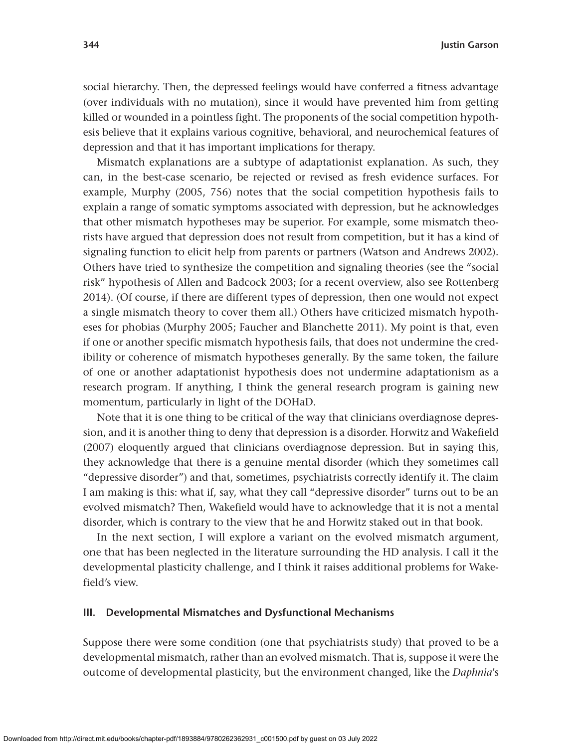social hierarchy. Then, the depressed feelings would have conferred a fitness advantage (over individuals with no mutation), since it would have prevented him from getting killed or wounded in a pointless fight. The proponents of the social competition hypothesis believe that it explains various cognitive, behavioral, and neurochemical features of depression and that it has important implications for therapy.

Mismatch explanations are a subtype of adaptationist explanation. As such, they can, in the best-case scenario, be rejected or revised as fresh evidence surfaces. For example, Murphy (2005, 756) notes that the social competition hypothesis fails to explain a range of somatic symptoms associated with depression, but he acknowledges that other mismatch hypotheses may be superior. For example, some mismatch theorists have argued that depression does not result from competition, but it has a kind of signaling function to elicit help from parents or partners (Watson and Andrews 2002). Others have tried to synthesize the competition and signaling theories (see the "social risk" hypothesis of Allen and Badcock 2003; for a recent overview, also see Rottenberg 2014). (Of course, if there are different types of depression, then one would not expect a single mismatch theory to cover them all.) Others have criticized mismatch hypotheses for phobias (Murphy 2005; Faucher and Blanchette 2011). My point is that, even if one or another specific mismatch hypothesis fails, that does not undermine the credibility or coherence of mismatch hypotheses generally. By the same token, the failure of one or another adaptationist hypothesis does not undermine adaptationism as a research program. If anything, I think the general research program is gaining new momentum, particularly in light of the DOHaD.

Note that it is one thing to be critical of the way that clinicians overdiagnose depression, and it is another thing to deny that depression is a disorder. Horwitz and Wakefield (2007) eloquently argued that clinicians overdiagnose depression. But in saying this, they acknowledge that there is a genuine mental disorder (which they sometimes call "depressive disorder") and that, sometimes, psychiatrists correctly identify it. The claim I am making is this: what if, say, what they call "depressive disorder" turns out to be an evolved mismatch? Then, Wakefield would have to acknowledge that it is not a mental disorder, which is contrary to the view that he and Horwitz staked out in that book.

In the next section, I will explore a variant on the evolved mismatch argument, one that has been neglected in the literature surrounding the HD analysis. I call it the developmental plasticity challenge, and I think it raises additional problems for Wakefield's view.

#### **III. Developmental Mismatches and Dysfunctional Mechanisms**

Suppose there were some condition (one that psychiatrists study) that proved to be a developmental mismatch, rather than an evolved mismatch. That is, suppose it were the outcome of developmental plasticity, but the environment changed, like the *Daphnia*'s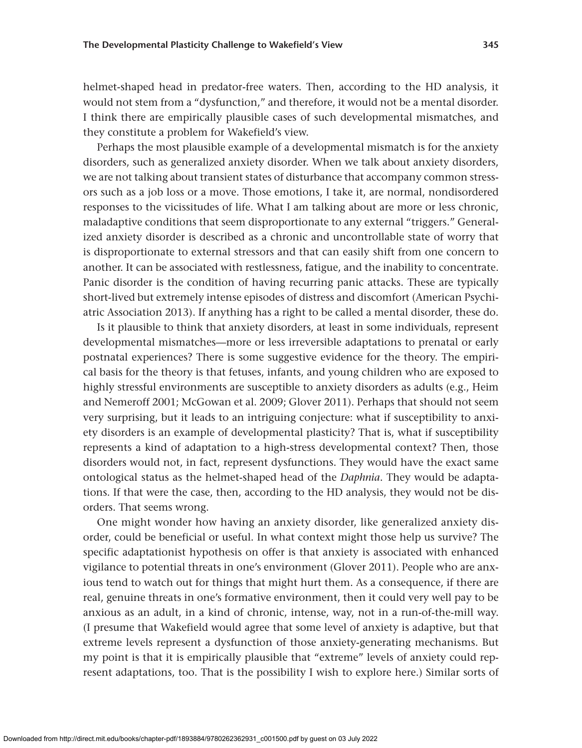helmet-shaped head in predator-free waters. Then, according to the HD analysis, it would not stem from a "dysfunction," and therefore, it would not be a mental disorder. I think there are empirically plausible cases of such developmental mismatches, and they constitute a problem for Wakefield's view.

Perhaps the most plausible example of a developmental mismatch is for the anxiety disorders, such as generalized anxiety disorder. When we talk about anxiety disorders, we are not talking about transient states of disturbance that accompany common stressors such as a job loss or a move. Those emotions, I take it, are normal, nondisordered responses to the vicissitudes of life. What I am talking about are more or less chronic, maladaptive conditions that seem disproportionate to any external "triggers." Generalized anxiety disorder is described as a chronic and uncontrollable state of worry that is disproportionate to external stressors and that can easily shift from one concern to another. It can be associated with restlessness, fatigue, and the inability to concentrate. Panic disorder is the condition of having recurring panic attacks. These are typically short-lived but extremely intense episodes of distress and discomfort (American Psychiatric Association 2013). If anything has a right to be called a mental disorder, these do.

Is it plausible to think that anxiety disorders, at least in some individuals, represent developmental mismatches—more or less irreversible adaptations to prenatal or early postnatal experiences? There is some suggestive evidence for the theory. The empirical basis for the theory is that fetuses, infants, and young children who are exposed to highly stressful environments are susceptible to anxiety disorders as adults (e.g., Heim and Nemeroff 2001; McGowan et al. 2009; Glover 2011). Perhaps that should not seem very surprising, but it leads to an intriguing conjecture: what if susceptibility to anxiety disorders is an example of developmental plasticity? That is, what if susceptibility represents a kind of adaptation to a high-stress developmental context? Then, those disorders would not, in fact, represent dysfunctions. They would have the exact same ontological status as the helmet-shaped head of the *Daphnia*. They would be adaptations. If that were the case, then, according to the HD analysis, they would not be disorders. That seems wrong.

One might wonder how having an anxiety disorder, like generalized anxiety disorder, could be beneficial or useful. In what context might those help us survive? The specific adaptationist hypothesis on offer is that anxiety is associated with enhanced vigilance to potential threats in one's environment (Glover 2011). People who are anxious tend to watch out for things that might hurt them. As a consequence, if there are real, genuine threats in one's formative environment, then it could very well pay to be anxious as an adult, in a kind of chronic, intense, way, not in a run-of-the-mill way. (I presume that Wakefield would agree that some level of anxiety is adaptive, but that extreme levels represent a dysfunction of those anxiety-generating mechanisms. But my point is that it is empirically plausible that "extreme" levels of anxiety could represent adaptations, too. That is the possibility I wish to explore here.) Similar sorts of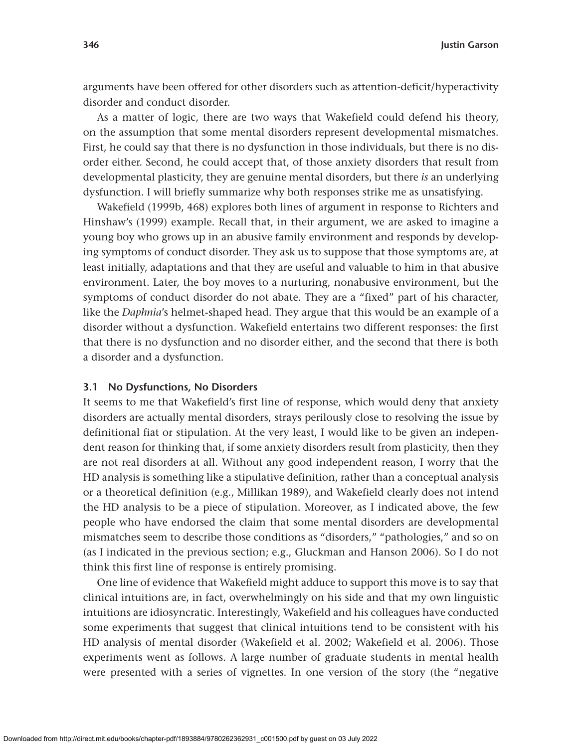arguments have been offered for other disorders such as attention-deficit/hyperactivity disorder and conduct disorder.

As a matter of logic, there are two ways that Wakefield could defend his theory, on the assumption that some mental disorders represent developmental mismatches. First, he could say that there is no dysfunction in those individuals, but there is no disorder either. Second, he could accept that, of those anxiety disorders that result from developmental plasticity, they are genuine mental disorders, but there *is* an underlying dysfunction. I will briefly summarize why both responses strike me as unsatisfying.

Wakefield (1999b, 468) explores both lines of argument in response to Richters and Hinshaw's (1999) example. Recall that, in their argument, we are asked to imagine a young boy who grows up in an abusive family environment and responds by developing symptoms of conduct disorder. They ask us to suppose that those symptoms are, at least initially, adaptations and that they are useful and valuable to him in that abusive environment. Later, the boy moves to a nurturing, nonabusive environment, but the symptoms of conduct disorder do not abate. They are a "fixed" part of his character, like the *Daphnia*'s helmet-shaped head. They argue that this would be an example of a disorder without a dysfunction. Wakefield entertains two different responses: the first that there is no dysfunction and no disorder either, and the second that there is both a disorder and a dysfunction.

#### **3.1 No Dysfunctions, No Disorders**

It seems to me that Wakefield's first line of response, which would deny that anxiety disorders are actually mental disorders, strays perilously close to resolving the issue by definitional fiat or stipulation. At the very least, I would like to be given an independent reason for thinking that, if some anxiety disorders result from plasticity, then they are not real disorders at all. Without any good independent reason, I worry that the HD analysis is something like a stipulative definition, rather than a conceptual analysis or a theoretical definition (e.g., Millikan 1989), and Wakefield clearly does not intend the HD analysis to be a piece of stipulation. Moreover, as I indicated above, the few people who have endorsed the claim that some mental disorders are developmental mismatches seem to describe those conditions as "disorders," "pathologies," and so on (as I indicated in the previous section; e.g., Gluckman and Hanson 2006). So I do not think this first line of response is entirely promising.

One line of evidence that Wakefield might adduce to support this move is to say that clinical intuitions are, in fact, overwhelmingly on his side and that my own linguistic intuitions are idiosyncratic. Interestingly, Wakefield and his colleagues have conducted some experiments that suggest that clinical intuitions tend to be consistent with his HD analysis of mental disorder (Wakefield et al. 2002; Wakefield et al. 2006). Those experiments went as follows. A large number of graduate students in mental health were presented with a series of vignettes. In one version of the story (the "negative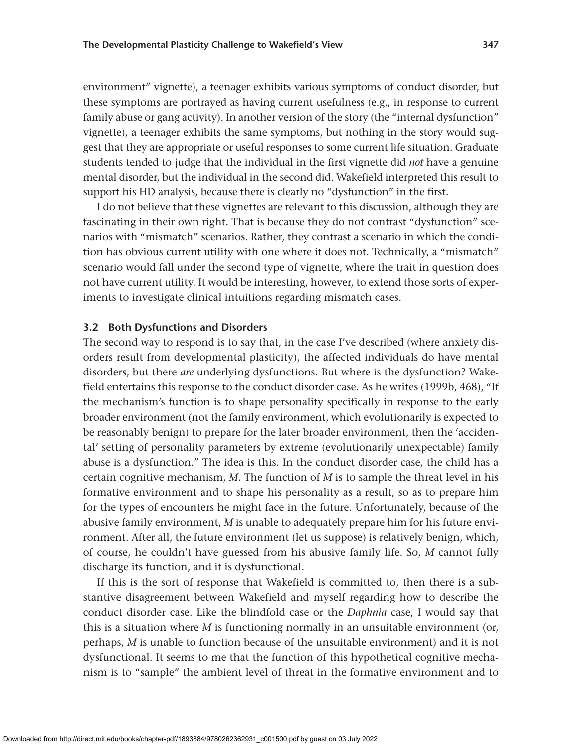environment" vignette), a teenager exhibits various symptoms of conduct disorder, but these symptoms are portrayed as having current usefulness (e.g., in response to current family abuse or gang activity). In another version of the story (the "internal dysfunction" vignette), a teenager exhibits the same symptoms, but nothing in the story would suggest that they are appropriate or useful responses to some current life situation. Graduate students tended to judge that the individual in the first vignette did *not* have a genuine mental disorder, but the individual in the second did. Wakefield interpreted this result to support his HD analysis, because there is clearly no "dysfunction" in the first.

I do not believe that these vignettes are relevant to this discussion, although they are fascinating in their own right. That is because they do not contrast "dysfunction" scenarios with "mismatch" scenarios. Rather, they contrast a scenario in which the condition has obvious current utility with one where it does not. Technically, a "mismatch" scenario would fall under the second type of vignette, where the trait in question does not have current utility. It would be interesting, however, to extend those sorts of experiments to investigate clinical intuitions regarding mismatch cases.

### **3.2 Both Dysfunctions and Disorders**

The second way to respond is to say that, in the case I've described (where anxiety disorders result from developmental plasticity), the affected individuals do have mental disorders, but there *are* underlying dysfunctions. But where is the dysfunction? Wakefield entertains this response to the conduct disorder case. As he writes (1999b, 468), "If the mechanism's function is to shape personality specifically in response to the early broader environment (not the family environment, which evolutionarily is expected to be reasonably benign) to prepare for the later broader environment, then the 'accidental' setting of personality parameters by extreme (evolutionarily unexpectable) family abuse is a dysfunction." The idea is this. In the conduct disorder case, the child has a certain cognitive mechanism, *M.* The function of *M* is to sample the threat level in his formative environment and to shape his personality as a result, so as to prepare him for the types of encounters he might face in the future. Unfortunately, because of the abusive family environment, *M* is unable to adequately prepare him for his future environment. After all, the future environment (let us suppose) is relatively benign, which, of course, he couldn't have guessed from his abusive family life. So, *M* cannot fully discharge its function, and it is dysfunctional.

If this is the sort of response that Wakefield is committed to, then there is a substantive disagreement between Wakefield and myself regarding how to describe the conduct disorder case. Like the blindfold case or the *Daphnia* case, I would say that this is a situation where *M* is functioning normally in an unsuitable environment (or, perhaps, *M* is unable to function because of the unsuitable environment) and it is not dysfunctional. It seems to me that the function of this hypothetical cognitive mechanism is to "sample" the ambient level of threat in the formative environment and to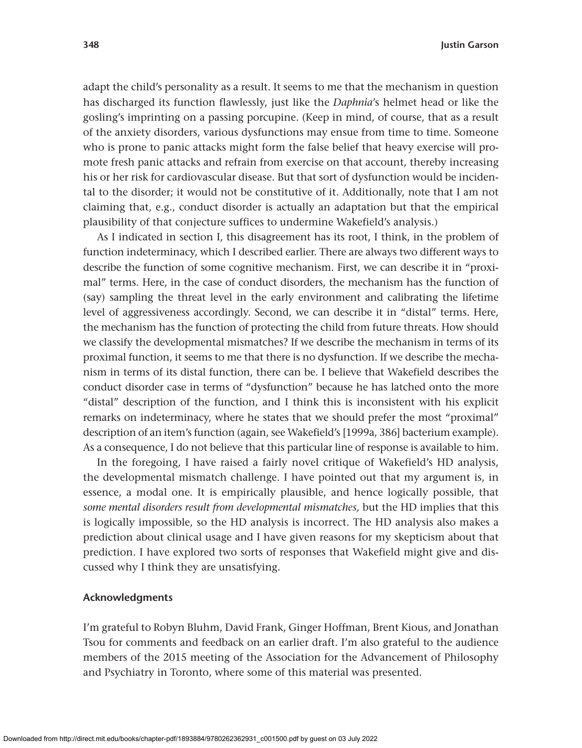adapt the child's personality as a result. It seems to me that the mechanism in question has discharged its function flawlessly, just like the *Daphnia*'s helmet head or like the gosling's imprinting on a passing porcupine. (Keep in mind, of course, that as a result of the anxiety disorders, various dysfunctions may ensue from time to time. Someone who is prone to panic attacks might form the false belief that heavy exercise will promote fresh panic attacks and refrain from exercise on that account, thereby increasing his or her risk for cardiovascular disease. But that sort of dysfunction would be incidental to the disorder; it would not be constitutive of it. Additionally, note that I am not claiming that, e.g., conduct disorder is actually an adaptation but that the empirical plausibility of that conjecture suffices to undermine Wakefield's analysis.)

As I indicated in section I, this disagreement has its root, I think, in the problem of function indeterminacy, which I described earlier. There are always two different ways to describe the function of some cognitive mechanism. First, we can describe it in "proximal" terms. Here, in the case of conduct disorders, the mechanism has the function of (say) sampling the threat level in the early environment and calibrating the lifetime level of aggressiveness accordingly. Second, we can describe it in "distal" terms. Here, the mechanism has the function of protecting the child from future threats. How should we classify the developmental mismatches? If we describe the mechanism in terms of its proximal function, it seems to me that there is no dysfunction. If we describe the mechanism in terms of its distal function, there can be. I believe that Wakefield describes the conduct disorder case in terms of "dysfunction" because he has latched onto the more "distal" description of the function, and I think this is inconsistent with his explicit remarks on indeterminacy, where he states that we should prefer the most "proximal" description of an item's function (again, see Wakefield's [1999a, 386] bacterium example). As a consequence, I do not believe that this particular line of response is available to him.

In the foregoing, I have raised a fairly novel critique of Wakefield's HD analysis, the developmental mismatch challenge. I have pointed out that my argument is, in essence, a modal one. It is empirically plausible, and hence logically possible, that *some mental disorders result from developmental mismatches,* but the HD implies that this is logically impossible, so the HD analysis is incorrect. The HD analysis also makes a prediction about clinical usage and I have given reasons for my skepticism about that prediction. I have explored two sorts of responses that Wakefield might give and discussed why I think they are unsatisfying.

#### **Acknowledgments**

I'm grateful to Robyn Bluhm, David Frank, Ginger Hoffman, Brent Kious, and Jonathan Tsou for comments and feedback on an earlier draft. I'm also grateful to the audience members of the 2015 meeting of the Association for the Advancement of Philosophy and Psychiatry in Toronto, where some of this material was presented.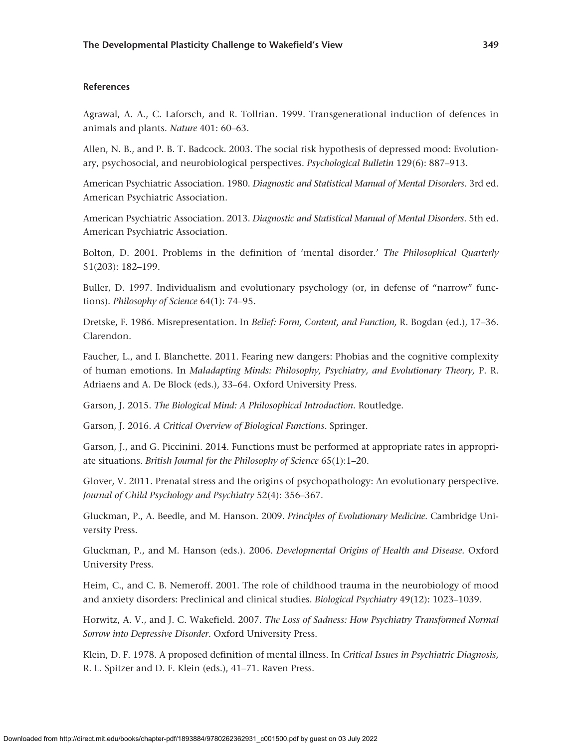#### **References**

Agrawal, A. A., C. Laforsch, and R. Tollrian. 1999. Transgenerational induction of defences in animals and plants. *Nature* 401: 60–63.

Allen, N. B., and P. B. T. Badcock. 2003. The social risk hypothesis of depressed mood: Evolutionary, psychosocial, and neurobiological perspectives. *Psychological Bulletin* 129(6): 887–913.

American Psychiatric Association. 1980. *Diagnostic and Statistical Manual of Mental Disorders*. 3rd ed. American Psychiatric Association.

American Psychiatric Association. 2013. *Diagnostic and Statistical Manual of Mental Disorders*. 5th ed. American Psychiatric Association.

Bolton, D. 2001. Problems in the definition of 'mental disorder.' *The Philosophical Quarterly* 51(203): 182–199.

Buller, D. 1997. Individualism and evolutionary psychology (or, in defense of "narrow" functions). *Philosophy of Science* 64(1): 74–95.

Dretske, F. 1986. Misrepresentation. In *Belief: Form, Content, and Function,* R. Bogdan (ed.), 17–36. Clarendon.

Faucher, L., and I. Blanchette. 2011. Fearing new dangers: Phobias and the cognitive complexity of human emotions. In *Maladapting Minds: Philosophy, Psychiatry, and Evolutionary Theory,* P. R. Adriaens and A. De Block (eds.), 33–64. Oxford University Press.

Garson, J. 2015. *The Biological Mind: A Philosophical Introduction*. Routledge.

Garson, J. 2016. *A Critical Overview of Biological Functions*. Springer.

Garson, J., and G. Piccinini. 2014. Functions must be performed at appropriate rates in appropriate situations. *British Journal for the Philosophy of Science* 65(1):1–20.

Glover, V. 2011. Prenatal stress and the origins of psychopathology: An evolutionary perspective. *Journal of Child Psychology and Psychiatry* 52(4): 356–367.

Gluckman, P., A. Beedle, and M. Hanson. 2009. *Principles of Evolutionary Medicine*. Cambridge University Press.

Gluckman, P., and M. Hanson (eds.). 2006. *Developmental Origins of Health and Disease.* Oxford University Press.

Heim, C., and C. B. Nemeroff. 2001. The role of childhood trauma in the neurobiology of mood and anxiety disorders: Preclinical and clinical studies. *Biological Psychiatry* 49(12): 1023–1039.

Horwitz, A. V., and J. C. Wakefield. 2007. *The Loss of Sadness: How Psychiatry Transformed Normal Sorrow into Depressive Disorder*. Oxford University Press.

Klein, D. F. 1978. A proposed definition of mental illness. In *Critical Issues in Psychiatric Diagnosis,* R. L. Spitzer and D. F. Klein (eds.), 41–71. Raven Press.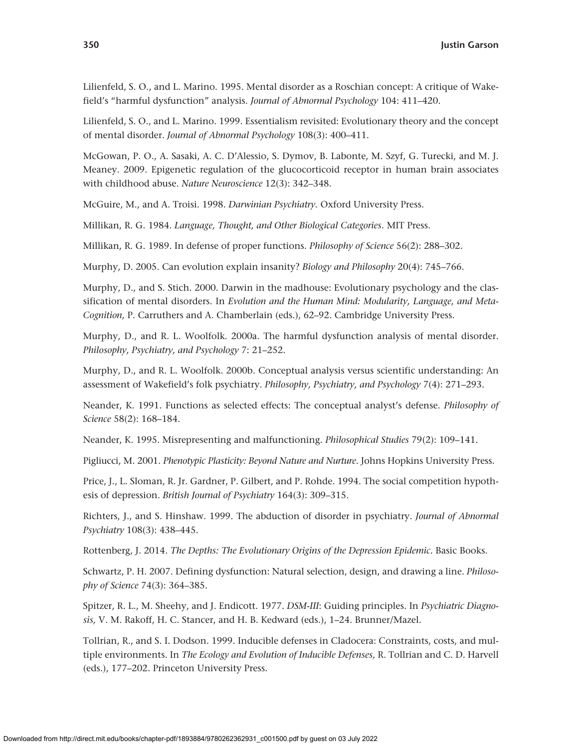Lilienfeld, S. O., and L. Marino. 1995. Mental disorder as a Roschian concept: A critique of Wakefield's "harmful dysfunction" analysis. *Journal of Abnormal Psychology* 104: 411–420.

Lilienfeld, S. O., and L. Marino. 1999. Essentialism revisited: Evolutionary theory and the concept of mental disorder. *Journal of Abnormal Psychology* 108(3): 400–411.

McGowan, P. O., A. Sasaki, A. C. D'Alessio, S. Dymov, B. Labonte, M. Szyf, G. Turecki, and M. J. Meaney. 2009. Epigenetic regulation of the glucocorticoid receptor in human brain associates with childhood abuse. *Nature Neuroscience* 12(3): 342–348.

McGuire, M., and A. Troisi. 1998. *Darwinian Psychiatry*. Oxford University Press.

Millikan, R. G. 1984. *Language, Thought, and Other Biological Categories*. MIT Press.

Millikan, R. G. 1989. In defense of proper functions. *Philosophy of Science* 56(2): 288–302.

Murphy, D. 2005. Can evolution explain insanity? *Biology and Philosophy* 20(4): 745–766.

Murphy, D., and S. Stich. 2000. Darwin in the madhouse: Evolutionary psychology and the classification of mental disorders. In *Evolution and the Human Mind: Modularity, Language, and Meta-Cognition,* P. Carruthers and A. Chamberlain (eds.), 62–92. Cambridge University Press.

Murphy, D., and R. L. Woolfolk. 2000a. The harmful dysfunction analysis of mental disorder. *Philosophy, Psychiatry, and Psychology* 7: 21–252.

Murphy, D., and R. L. Woolfolk. 2000b. Conceptual analysis versus scientific understanding: An assessment of Wakefield's folk psychiatry. *Philosophy, Psychiatry, and Psychology* 7(4): 271–293.

Neander, K. 1991. Functions as selected effects: The conceptual analyst's defense. *Philosophy of Science* 58(2): 168–184.

Neander, K. 1995. Misrepresenting and malfunctioning. *Philosophical Studies* 79(2): 109–141.

Pigliucci, M. 2001. *Phenotypic Plasticity: Beyond Nature and Nurture.* Johns Hopkins University Press.

Price, J., L. Sloman, R. Jr. Gardner, P. Gilbert, and P. Rohde. 1994. The social competition hypothesis of depression. *British Journal of Psychiatry* 164(3): 309–315.

Richters, J., and S. Hinshaw. 1999. The abduction of disorder in psychiatry. *Journal of Abnormal Psychiatry* 108(3): 438–445.

Rottenberg, J. 2014. *The Depths: The Evolutionary Origins of the Depression Epidemic.* Basic Books.

Schwartz, P. H. 2007. Defining dysfunction: Natural selection, design, and drawing a line. *Philosophy of Science* 74(3): 364–385.

Spitzer, R. L., M. Sheehy, and J. Endicott. 1977. *DSM-III*: Guiding principles. In *Psychiatric Diagnosis,* V. M. Rakoff, H. C. Stancer, and H. B. Kedward (eds.), 1–24. Brunner/Mazel.

Tollrian, R., and S. I. Dodson. 1999. Inducible defenses in Cladocera: Constraints, costs, and multiple environments. In *The Ecology and Evolution of Inducible Defenses,* R. Tollrian and C. D. Harvell (eds.), 177–202. Princeton University Press.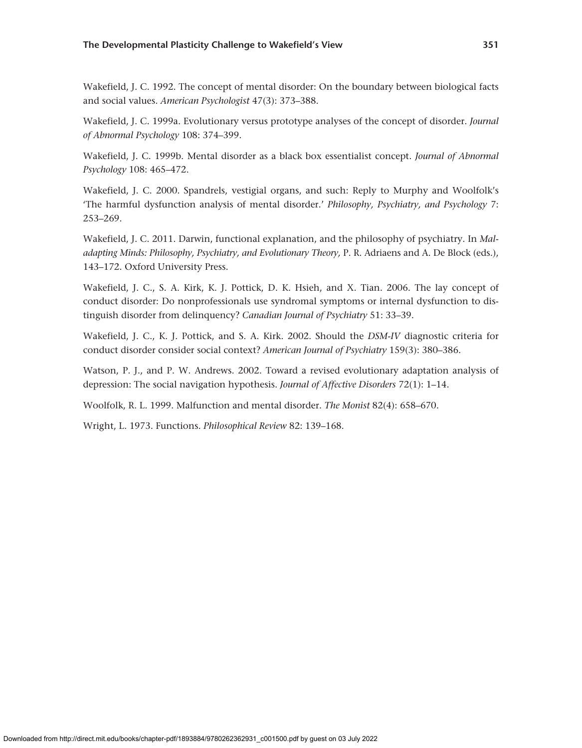Wakefield, J. C. 1992. The concept of mental disorder: On the boundary between biological facts and social values. *American Psychologist* 47(3): 373–388.

Wakefield, J. C. 1999a. Evolutionary versus prototype analyses of the concept of disorder. *Journal of Abnormal Psychology* 108: 374–399.

Wakefield, J. C. 1999b. Mental disorder as a black box essentialist concept. *Journal of Abnormal Psychology* 108: 465–472.

Wakefield, J. C. 2000. Spandrels, vestigial organs, and such: Reply to Murphy and Woolfolk's 'The harmful dysfunction analysis of mental disorder.' *Philosophy, Psychiatry, and Psychology* 7: 253–269.

Wakefield, J. C. 2011. Darwin, functional explanation, and the philosophy of psychiatry. In *Maladapting Minds: Philosophy, Psychiatry, and Evolutionary Theory,* P. R. Adriaens and A. De Block (eds.), 143–172. Oxford University Press.

Wakefield, J. C., S. A. Kirk, K. J. Pottick, D. K. Hsieh, and X. Tian. 2006. The lay concept of conduct disorder: Do nonprofessionals use syndromal symptoms or internal dysfunction to distinguish disorder from delinquency? *Canadian Journal of Psychiatry* 51: 33–39.

Wakefield, J. C., K. J. Pottick, and S. A. Kirk. 2002. Should the *DSM-IV* diagnostic criteria for conduct disorder consider social context? *American Journal of Psychiatry* 159(3): 380–386.

Watson, P. J., and P. W. Andrews. 2002. Toward a revised evolutionary adaptation analysis of depression: The social navigation hypothesis. *Journal of Affective Disorders* 72(1): 1–14.

Woolfolk, R. L. 1999. Malfunction and mental disorder. *The Monist* 82(4): 658–670.

Wright, L. 1973. Functions. *Philosophical Review* 82: 139–168.